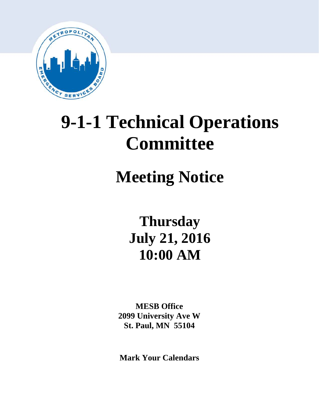

# **9-1-1 Technical Operations Committee**

## **Meeting Notice**

**Thursday July 21, 2016 10:00 AM**

**MESB Office 2099 University Ave W St. Paul, MN 55104**

**Mark Your Calendars**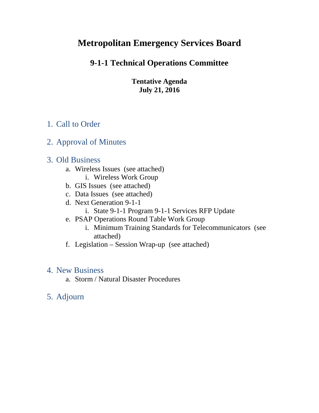## **Metropolitan Emergency Services Board**

## **9-1-1 Technical Operations Committee**

**Tentative Agenda July 21, 2016**

## 1. Call to Order

## 2. Approval of Minutes

## 3. Old Business

- a. Wireless Issues (see attached)
	- i. Wireless Work Group
- b. GIS Issues (see attached)
- c. Data Issues (see attached)
- d. Next Generation 9-1-1
	- i. State 9-1-1 Program 9-1-1 Services RFP Update
- e. PSAP Operations Round Table Work Group
	- i. Minimum Training Standards for Telecommunicators (see attached)
- f. Legislation Session Wrap-up (see attached)

## 4. New Business

a. Storm / Natural Disaster Procedures

## 5. Adjourn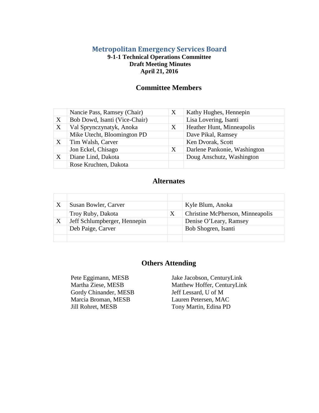## **Metropolitan Emergency Services Board**

## **9-1-1 Technical Operations Committee Draft Meeting Minutes April 21, 2016**

## **Committee Members**

|   | Nancie Pass, Ramsey (Chair)   | X | Kathy Hughes, Hennepin       |
|---|-------------------------------|---|------------------------------|
| X | Bob Dowd, Isanti (Vice-Chair) |   | Lisa Lovering, Isanti        |
| X | Val Sprynczynatyk, Anoka      | X | Heather Hunt, Minneapolis    |
|   | Mike Utecht, Bloomington PD   |   | Dave Pikal, Ramsey           |
| X | Tim Walsh, Carver             |   | Ken Dvorak, Scott            |
|   | Jon Eckel, Chisago            | X | Darlene Pankonie, Washington |
| X | Diane Lind, Dakota            |   | Doug Anschutz, Washington    |
|   | Rose Kruchten, Dakota         |   |                              |

## **Alternates**

|   | Susan Bowler, Carver         |   | Kyle Blum, Anoka                 |
|---|------------------------------|---|----------------------------------|
|   | Troy Ruby, Dakota            | X | Christine McPherson, Minneapolis |
| X | Jeff Schlumpberger, Hennepin |   | Denise O'Leary, Ramsey           |
|   | Deb Paige, Carver            |   | Bob Shogren, Isanti              |
|   |                              |   |                                  |

## **Others Attending**

Gordy Chinander, MESB Marcia Broman, MESB Jill Rohret, MESB

Pete Eggimann, MESB Jake Jacobson, CenturyLink<br>Martha Ziese, MESB Matthew Hoffer, CenturyLin Matthew Hoffer, CenturyLink Jeff Lessard, U of M Lauren Petersen, MAC Tony Martin, Edina PD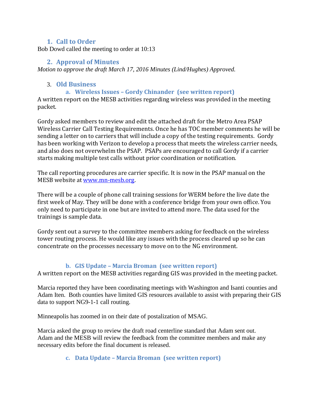## **1. Call to Order**

Bob Dowd called the meeting to order at 10:13

## **2. Approval of Minutes**

*Motion to approve the draft March 17, 2016 Minutes (Lind/Hughes) Approved.* 

## 3. **Old Business**

## **a. Wireless Issues – Gordy Chinander (see written report)**

A written report on the MESB activities regarding wireless was provided in the meeting packet.

Gordy asked members to review and edit the attached draft for the Metro Area PSAP Wireless Carrier Call Testing Requirements. Once he has TOC member comments he will be sending a letter on to carriers that will include a copy of the testing requirements. Gordy has been working with Verizon to develop a process that meets the wireless carrier needs, and also does not overwhelm the PSAP. PSAPs are encouraged to call Gordy if a carrier starts making multiple test calls without prior coordination or notification.

The call reporting procedures are carrier specific. It is now in the PSAP manual on the MESB website at [www.mn-mesb.org.](http://www.mn-mesb.org/)

There will be a couple of phone call training sessions for WERM before the live date the first week of May. They will be done with a conference bridge from your own office. You only need to participate in one but are invited to attend more. The data used for the trainings is sample data.

Gordy sent out a survey to the committee members asking for feedback on the wireless tower routing process. He would like any issues with the process cleared up so he can concentrate on the processes necessary to move on to the NG environment.

## **b. GIS Update – Marcia Broman (see written report)**

A written report on the MESB activities regarding GIS was provided in the meeting packet.

Marcia reported they have been coordinating meetings with Washington and Isanti counties and Adam Iten. Both counties have limited GIS resources available to assist with preparing their GIS data to support NG9-1-1 call routing.

Minneapolis has zoomed in on their date of postalization of MSAG.

Marcia asked the group to review the draft road centerline standard that Adam sent out. Adam and the MESB will review the feedback from the committee members and make any necessary edits before the final document is released.

## **c. Data Update – Marcia Broman (see written report)**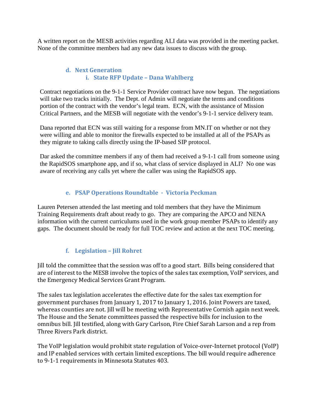A written report on the MESB activities regarding ALI data was provided in the meeting packet. None of the committee members had any new data issues to discuss with the group.

## **d. Next Generation i. State RFP Update – Dana Wahlberg**

Contract negotiations on the 9-1-1 Service Provider contract have now begun. The negotiations will take two tracks initially. The Dept. of Admin will negotiate the terms and conditions portion of the contract with the vendor's legal team. ECN, with the assistance of Mission Critical Partners, and the MESB will negotiate with the vendor's 9-1-1 service delivery team.

Dana reported that ECN was still waiting for a response from MN.IT on whether or not they were willing and able to monitor the firewalls expected to be installed at all of the PSAPs as they migrate to taking calls directly using the IP-based SIP protocol.

Dar asked the committee members if any of them had received a 9-1-1 call from someone using the RapidSOS smartphone app, and if so, what class of service displayed in ALI? No one was aware of receiving any calls yet where the caller was using the RapidSOS app.

## **e. PSAP Operations Roundtable - Victoria Peckman**

Lauren Petersen attended the last meeting and told members that they have the Minimum Training Requirements draft about ready to go. They are comparing the APCO and NENA information with the current curriculums used in the work group member PSAPs to identify any gaps. The document should be ready for full TOC review and action at the next TOC meeting.

## **f. Legislation – Jill Rohret**

Jill told the committee that the session was off to a good start. Bills being considered that are of interest to the MESB involve the topics of the sales tax exemption, VoIP services, and the Emergency Medical Services Grant Program.

The sales tax legislation accelerates the effective date for the sales tax exemption for government purchases from January 1, 2017 to January 1, 2016. Joint Powers are taxed, whereas counties are not. Jill will be meeting with Representative Cornish again next week. The House and the Senate committees passed the respective bills for inclusion to the omnibus bill. Jill testified, along with Gary Carlson, Fire Chief Sarah Larson and a rep from Three Rivers Park district.

The VoIP legislation would prohibit state regulation of Voice-over-Internet protocol (VoIP) and IP enabled services with certain limited exceptions. The bill would require adherence to 9-1-1 requirements in Minnesota Statutes 403.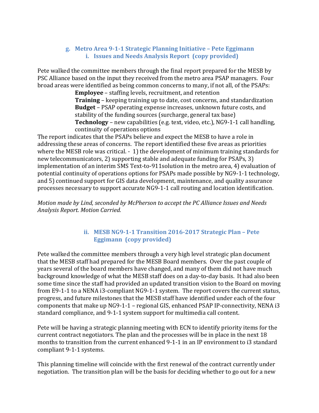## **g. Metro Area 9-1-1 Strategic Planning Initiative – Pete Eggimann i. Issues and Needs Analysis Report (copy provided)**

Pete walked the committee members through the final report prepared for the MESB by PSC Alliance based on the input they received from the metro area PSAP managers. Four broad areas were identified as being common concerns to many, if not all, of the PSAPs:

**Employee** – staffing levels, recruitment, and retention **Training** – keeping training up to date, cost concerns, and standardization **Budget** – PSAP operating expense increases, unknown future costs, and stability of the funding sources (surcharge, general tax base) **Technology** – new capabilities (e.g. text, video, etc.), NG9-1-1 call handling, continuity of operations options

The report indicates that the PSAPs believe and expect the MESB to have a role in addressing these areas of concerns. The report identified these five areas as priorities where the MESB role was critical. - 1) the development of minimum training standards for new telecommunicators, 2) supporting stable and adequate funding for PSAPs, 3) implementation of an interim SMS Text-to-911solution in the metro area, 4) evaluation of potential continuity of operations options for PSAPs made possible by NG9-1-1 technology, and 5) continued support for GIS data development, maintenance, and quality assurance processes necessary to support accurate NG9-1-1 call routing and location identification.

*Motion made by Lind, seconded by McPherson to accept the PC Alliance Issues and Needs Analysis Report. Motion Carried.*

## **ii. MESB NG9-1-1 Transition 2016-2017 Strategic Plan – Pete Eggimann (copy provided)**

Pete walked the committee members through a very high level strategic plan document that the MESB staff had prepared for the MESB Board members. Over the past couple of years several of the board members have changed, and many of them did not have much background knowledge of what the MESB staff does on a day-to-day basis. It had also been some time since the staff had provided an updated transition vision to the Board on moving from E9-1-1 to a NENA i3-compliant NG9-1-1 system. The report covers the current status, progress, and future milestones that the MESB staff have identified under each of the four components that make up NG9-1-1 – regional GIS, enhanced PSAP IP-connectivity, NENA i3 standard compliance, and 9-1-1 system support for multimedia call content.

Pete will be having a strategic planning meeting with ECN to identify priority items for the current contract negotiators. The plan and the processes will be in place in the next 18 months to transition from the current enhanced 9-1-1 in an IP environment to i3 standard compliant 9-1-1 systems.

This planning timeline will coincide with the first renewal of the contract currently under negotiation. The transition plan will be the basis for deciding whether to go out for a new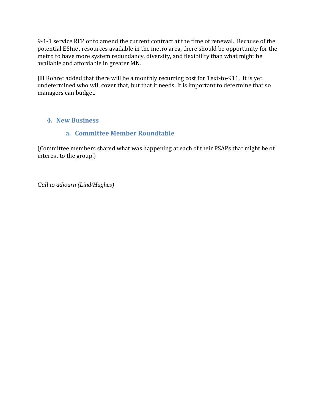9-1-1 service RFP or to amend the current contract at the time of renewal. Because of the potential ESInet resources available in the metro area, there should be opportunity for the metro to have more system redundancy, diversity, and flexibility than what might be available and affordable in greater MN.

Jill Rohret added that there will be a monthly recurring cost for Text-to-911. It is yet undetermined who will cover that, but that it needs. It is important to determine that so managers can budget.

## **4. New Business**

## **a. Committee Member Roundtable**

(Committee members shared what was happening at each of their PSAPs that might be of interest to the group.)

*Call to adjourn (Lind/Hughes)*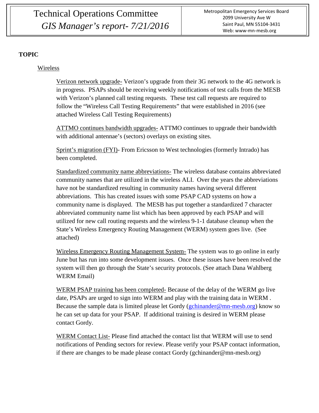Technical Operations Committee *GIS Manager's report- 7/21/2016*

## **TOPIC**

## Wireless

Verizon network upgrade- Verizon's upgrade from their 3G network to the 4G network is in progress. PSAPs should be receiving weekly notifications of test calls from the MESB with Verizon's planned call testing requests. These test call requests are required to follow the "Wireless Call Testing Requirements" that were established in 2016 (see attached Wireless Call Testing Requirements)

ATTMO continues bandwidth upgrades- ATTMO continues to upgrade their bandwidth with additional antennae's (sectors) overlays on existing sites.

Sprint's migration (FYI)- From Ericsson to West technologies (formerly Intrado) has been completed.

Standardized community name abbreviations- The wireless database contains abbreviated community names that are utilized in the wireless ALI. Over the years the abbreviations have not be standardized resulting in community names having several different abbreviations. This has created issues with some PSAP CAD systems on how a community name is displayed. The MESB has put together a standardized 7 character abbreviated community name list which has been approved by each PSAP and will utilized for new call routing requests and the wireless 9-1-1 database cleanup when the State's Wireless Emergency Routing Management (WERM) system goes live. (See attached)

Wireless Emergency Routing Management System- The system was to go online in early June but has run into some development issues. Once these issues have been resolved the system will then go through the State's security protocols. (See attach Dana Wahlberg WERM Email)

WERM PSAP training has been completed- Because of the delay of the WERM go live date, PSAPs are urged to sign into WERM and play with the training data in WERM . Because the sample data is limited please let Gordy ( $gchinander@mn-mesh.org$ ) know so he can set up data for your PSAP. If additional training is desired in WERM please contact Gordy.

WERM Contact List- Please find attached the contact list that WERM will use to send notifications of Pending sectors for review. Please verify your PSAP contact information, if there are changes to be made please contact Gordy (gchinander@mn-mesb.org)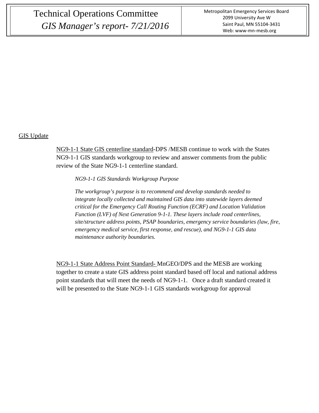## Technical Operations Committee *GIS Manager's report- 7/21/2016*

#### GIS Update

NG9-1-1 State GIS centerline standard-DPS /MESB continue to work with the States NG9-1-1 GIS standards workgroup to review and answer comments from the public review of the State NG9-1-1 centerline standard.

*NG9-1-1 GIS Standards Workgroup Purpose*

*The workgroup's purpose is to recommend and develop standards needed to integrate locally collected and maintained GIS data into statewide layers deemed critical for the Emergency Call Routing Function (ECRF) and Location Validation Function (LVF) of Next Generation 9-1-1. These layers include road centerlines, site/structure address points, PSAP boundaries, emergency service boundaries (law, fire, emergency medical service, first response, and rescue), and NG9-1-1 GIS data maintenance authority boundaries.*

NG9-1-1 State Address Point Standard- MnGEO/DPS and the MESB are working together to create a state GIS address point standard based off local and national address point standards that will meet the needs of NG9-1-1. Once a draft standard created it will be presented to the State NG9-1-1 GIS standards workgroup for approval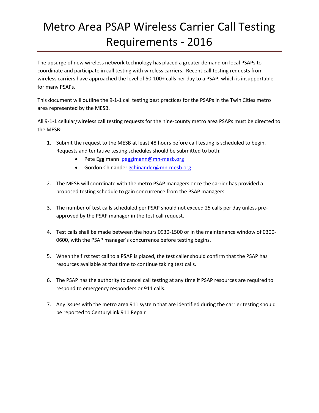## Metro Area PSAP Wireless Carrier Call Testing Requirements - 2016

The upsurge of new wireless network technology has placed a greater demand on local PSAPs to coordinate and participate in call testing with wireless carriers. Recent call testing requests from wireless carriers have approached the level of 50-100+ calls per day to a PSAP, which is insupportable for many PSAPs.

This document will outline the 9-1-1 call testing best practices for the PSAPs in the Twin Cities metro area represented by the MESB.

All 9-1-1 cellular/wireless call testing requests for the nine-county metro area PSAPs must be directed to the MESB:

- 1. Submit the request to the MESB at least 48 hours before call testing is scheduled to begin. Requests and tentative testing schedules should be submitted to both:
	- Pete Eggimann [peggimann@mn-mesb.org](mailto:peggimann@mn-mesb.org)
	- Gordon Chinander [gchinander@mn-mesb.org](mailto:gchinander@mn-mesb.org)
- 2. The MESB will coordinate with the metro PSAP managers once the carrier has provided a proposed testing schedule to gain concurrence from the PSAP managers
- 3. The number of test calls scheduled per PSAP should not exceed 25 calls per day unless preapproved by the PSAP manager in the test call request.
- 4. Test calls shall be made between the hours 0930-1500 or in the maintenance window of 0300- 0600, with the PSAP manager's concurrence before testing begins.
- 5. When the first test call to a PSAP is placed, the test caller should confirm that the PSAP has resources available at that time to continue taking test calls.
- 6. The PSAP has the authority to cancel call testing at any time if PSAP resources are required to respond to emergency responders or 911 calls.
- 7. Any issues with the metro area 911 system that are identified during the carrier testing should be reported to CenturyLink 911 Repair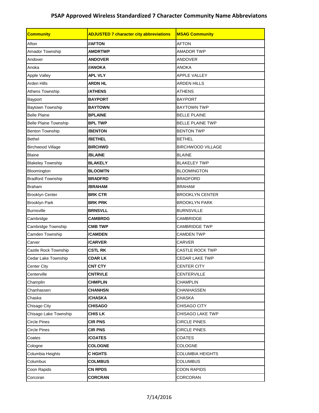| <b>Community</b>             | <b>ADJUSTED 7 character city abbreviations</b> | <b>MSAG Community</b>   |  |  |
|------------------------------|------------------------------------------------|-------------------------|--|--|
| Afton                        | //AFTON                                        | <b>AFTON</b>            |  |  |
| Amador Township              | <b>AMDRTWP</b>                                 | <b>AMADOR TWP</b>       |  |  |
| Andover                      | <b>ANDOVER</b>                                 | <b>ANDOVER</b>          |  |  |
| Anoka                        | <b>I/ANOKA</b>                                 | <b>ANOKA</b>            |  |  |
| Apple Valley                 | <b>APL VLY</b>                                 | <b>APPLE VALLEY</b>     |  |  |
| Arden Hills                  | <b>ARDN HL</b>                                 | <b>ARDEN HILLS</b>      |  |  |
| Athens Township              | <b>/ATHENS</b>                                 | <b>ATHENS</b>           |  |  |
| Bayport                      | <b>BAYPORT</b>                                 | <b>BAYPORT</b>          |  |  |
| Baytown Township             | <b>BAYTOWN</b>                                 | <b>BAYTOWN TWP</b>      |  |  |
| <b>Belle Plaine</b>          | <b>BPLAINE</b>                                 | <b>BELLE PLAINE</b>     |  |  |
| <b>Belle Plaine Township</b> | <b>BPL TWP</b>                                 | <b>BELLE PLAINE TWP</b> |  |  |
| Benton Township              | /BENTON                                        | <b>BENTON TWP</b>       |  |  |
| <b>Bethel</b>                | /BETHEL                                        | <b>BETHEL</b>           |  |  |
| <b>Birchwood Village</b>     | <b>BIRCHWD</b>                                 | BIRCHWOOD VILLAGE       |  |  |
| <b>Blaine</b>                | /BLAINE                                        | <b>BLAINE</b>           |  |  |
| <b>Blakeley Township</b>     | <b>BLAKELY</b>                                 | <b>BLAKELEY TWP</b>     |  |  |
| Bloomington                  | <b>BLOOMTN</b>                                 | <b>BLOOMINGTON</b>      |  |  |
| <b>Bradford Township</b>     | <b>BRADFRD</b>                                 | <b>BRADFORD</b>         |  |  |
| <b>Braham</b>                | /BRAHAM                                        | <b>BRAHAM</b>           |  |  |
| <b>Brooklyn Center</b>       | <b>BRK CTR</b>                                 | <b>BROOKLYN CENTER</b>  |  |  |
| <b>Brooklyn Park</b>         | <b>BRK PRK</b>                                 | <b>BROOKLYN PARK</b>    |  |  |
| <b>Burnsville</b>            | <b>BRNSVLL</b>                                 | <b>BURNSVILLE</b>       |  |  |
| Cambridge                    | <b>CAMBRDG</b>                                 | <b>CAMBRIDGE</b>        |  |  |
| Cambridge Township           | <b>CMB TWP</b>                                 | <b>CAMBRIDGE TWP</b>    |  |  |
| Camden Township              | <b>/CAMDEN</b>                                 | <b>CAMDEN TWP</b>       |  |  |
| Carver                       | /CARVER                                        | <b>CARVER</b>           |  |  |
| Castle Rock Township         | <b>CSTL RK</b>                                 | <b>CASTLE ROCK TWP</b>  |  |  |
| Cedar Lake Township          | <b>CDAR LK</b>                                 | <b>CEDAR LAKE TWP</b>   |  |  |
| <b>Center City</b>           | <b>CNT CTY</b>                                 | <b>CENTER CITY</b>      |  |  |
| Centerville                  | <b>CNTRVLE</b>                                 | CENTERVILLE             |  |  |
| Champlin                     | <b>CHMPLIN</b>                                 | <b>CHAMPLIN</b>         |  |  |
| Chanhassen                   | <b>CHANHSN</b>                                 | CHANHASSEN              |  |  |
| Chaska                       | /CHASKA                                        | <b>CHASKA</b>           |  |  |
| Chisago City                 | <b>CHISAGO</b>                                 | CHISAGO CITY            |  |  |
| Chisago Lake Township        | <b>CHIS LK</b>                                 | CHISAGO LAKE TWP        |  |  |
| <b>Circle Pines</b>          | <b>CIR PNS</b>                                 | <b>CIRCLE PINES</b>     |  |  |
| <b>Circle Pines</b>          | <b>CIR PNS</b>                                 | <b>CIRCLE PINES</b>     |  |  |
| Coates                       | /COATES                                        | COATES                  |  |  |
| Cologne                      | <b>COLOGNE</b>                                 | <b>COLOGNE</b>          |  |  |
| Columbia Heights             | <b>CHGHTS</b>                                  | <b>COLUMBIA HEIGHTS</b> |  |  |
| Columbus                     | <b>COLMBUS</b>                                 | <b>COLUMBUS</b>         |  |  |
| Coon Rapids                  | <b>CN RPDS</b>                                 | <b>COON RAPIDS</b>      |  |  |
| Corcoran                     | <b>CORCRAN</b>                                 | CORCORAN                |  |  |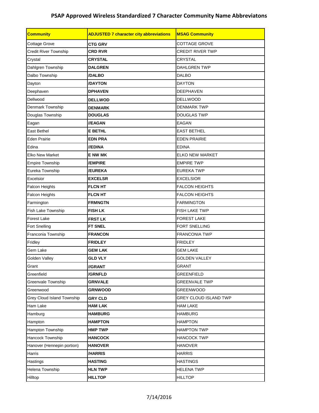| <b>Community</b>           | <b>ADJUSTED 7 character city abbreviations</b> | <b>MSAG Community</b>        |
|----------------------------|------------------------------------------------|------------------------------|
| Cottage Grove              | <b>CTG GRV</b>                                 | <b>COTTAGE GROVE</b>         |
| Credit River Township      | <b>CRD RVR</b>                                 | <b>CREDIT RIVER TWP</b>      |
| Crystal                    | <b>CRYSTAL</b>                                 | <b>CRYSTAL</b>               |
| Dahlgren Township          | <b>DALGREN</b>                                 | <b>DAHLGREN TWP</b>          |
| Dalbo Township             | /DALBO                                         | <b>DALBO</b>                 |
| Dayton                     | /DAYTON                                        | <b>DAYTON</b>                |
| Deephaven                  | <b>DPHAVEN</b>                                 | <b>DEEPHAVEN</b>             |
| Dellwood                   | <b>DELLWOD</b>                                 | <b>DELLWOOD</b>              |
| Denmark Township           | <b>DENMARK</b>                                 | <b>DENMARK TWP</b>           |
| Douglas Township           | <b>DOUGLAS</b>                                 | <b>DOUGLAS TWP</b>           |
| Eagan                      | //EAGAN                                        | <b>EAGAN</b>                 |
| <b>East Bethel</b>         | E BETHL                                        | <b>EAST BETHEL</b>           |
| <b>Eden Prairie</b>        | <b>EDN PRA</b>                                 | <b>EDEN PRAIRIE</b>          |
| Edina                      | //EDINA                                        | <b>EDINA</b>                 |
| <b>Elko New Market</b>     | <b>E NW MK</b>                                 | <b>ELKO NEW MARKET</b>       |
| <b>Empire Township</b>     | <b>/EMPIRE</b>                                 | <b>EMPIRE TWP</b>            |
| Eureka Township            | /EUREKA                                        | <b>EUREKA TWP</b>            |
| Excelsior                  | <b>EXCELSR</b>                                 | <b>EXCELSIOR</b>             |
| <b>Falcon Heights</b>      | <b>FLCN HT</b>                                 | <b>FALCON HEIGHTS</b>        |
| Falcon Heights             | <b>FLCN HT</b>                                 | <b>FALCON HEIGHTS</b>        |
| Farmington                 | <b>FRMNGTN</b>                                 | <b>FARMINGTON</b>            |
| Fish Lake Township         | <b>FISH LK</b>                                 | <b>FISH LAKE TWP</b>         |
| Forest Lake                | <b>FRST LK</b>                                 | <b>FOREST LAKE</b>           |
| Fort Snelling              | <b>FT SNEL</b>                                 | FORT SNELLING                |
| Franconia Township         | <b>FRANCON</b>                                 | FRANCONIA TWP                |
| Fridley                    | <b>FRIDLEY</b>                                 | <b>FRIDLEY</b>               |
| Gem Lake                   | <b>GEM LAK</b>                                 | GEM LAKE                     |
| Golden Valley              | <b>GLD VLY</b>                                 | <b>GOLDEN VALLEY</b>         |
| Grant                      | //GRANT                                        | <b>GRANT</b>                 |
| Greenfield                 | /GRNFLD                                        | <b>GREENFIELD</b>            |
| Greenvale Township         | <b>GRNVALE</b>                                 | <b>GREENVALE TWP</b>         |
| Greenwood                  | <b>GRNWOOD</b>                                 | <b>GREENWOOD</b>             |
| Grey Cloud Island Township | <b>GRY CLD</b>                                 | <b>GREY CLOUD ISLAND TWP</b> |
| Ham Lake                   | <b>HAM LAK</b>                                 | <b>HAM LAKE</b>              |
| Hamburg                    | <b>HAMBURG</b>                                 | <b>HAMBURG</b>               |
| Hampton                    | <b>HAMPTON</b>                                 | <b>HAMPTON</b>               |
| Hampton Township           | <b>HMP TWP</b>                                 | <b>HAMPTON TWP</b>           |
| Hancock Township           | <b>HANCOCK</b>                                 | <b>HANCOCK TWP</b>           |
| Hanover (Hennepin portion) | <b>HANOVER</b>                                 | <b>HANOVER</b>               |
| Harris                     | /HARRIS                                        | <b>HARRIS</b>                |
| Hastings                   | <b>HASTING</b>                                 | <b>HASTINGS</b>              |
| Helena Township            | <b>HLN TWP</b>                                 | <b>HELENA TWP</b>            |
| Hilltop                    | <b>HILLTOP</b>                                 | <b>HILLTOP</b>               |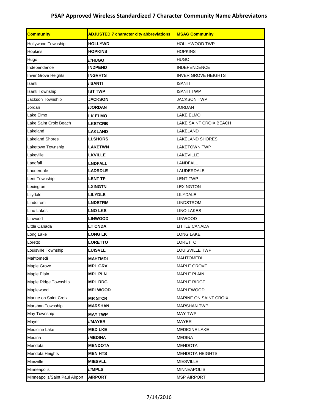| <b>Community</b>               | <b>ADJUSTED 7 character city abbreviations</b><br><b>MSAG Community</b> |                            |  |  |
|--------------------------------|-------------------------------------------------------------------------|----------------------------|--|--|
| Hollywood Township             | <b>HOLLYWD</b>                                                          | <b>HOLLYWOOD TWP</b>       |  |  |
| Hopkins                        | <b>HOPKINS</b>                                                          | <b>HOPKINS</b>             |  |  |
| Hugo                           | ///HUGO                                                                 | <b>HUGO</b>                |  |  |
| Independence                   | <b>INDPEND</b>                                                          | <b>INDEPENDENCE</b>        |  |  |
| Inver Grove Heights            | <b>INGVHTS</b>                                                          | <b>INVER GROVE HEIGHTS</b> |  |  |
| Isanti                         | /ISANTI                                                                 | <b>ISANTI</b>              |  |  |
| Isanti Township                | <b>IST TWP</b>                                                          | <b>ISANTI TWP</b>          |  |  |
| Jackson Township               | <b>JACKSON</b>                                                          | <b>JACKSON TWP</b>         |  |  |
| Jordan                         | <b>JJORDAN</b>                                                          | <b>JORDAN</b>              |  |  |
| Lake Elmo                      | LK ELMO                                                                 | <b>LAKE ELMO</b>           |  |  |
| Lake Saint Croix Beach         | <b>LKSTCRB</b>                                                          | LAKE SAINT CROIX BEACH     |  |  |
| Lakeland                       | <b>LAKLAND</b>                                                          | LAKELAND                   |  |  |
| <b>Lakeland Shores</b>         | <b>LLSHORS</b>                                                          | <b>LAKELAND SHORES</b>     |  |  |
| Laketown Township              | <b>LAKETWN</b>                                                          | LAKETOWN TWP               |  |  |
| Lakeville                      | <b>LKVILLE</b>                                                          | <b>LAKEVILLE</b>           |  |  |
| Landfall                       | <b>LNDFALL</b>                                                          | LANDFALL                   |  |  |
| Lauderdale                     | <b>LADRDLE</b>                                                          | LAUDERDALE                 |  |  |
| Lent Township                  | <b>LENT TP</b>                                                          | <b>LENT TWP</b>            |  |  |
| Lexington                      | <b>LXINGTN</b>                                                          | <b>LEXINGTON</b>           |  |  |
| Lilydale                       | <b>LILYDLE</b>                                                          | LILYDALE                   |  |  |
| Lindstrom                      | <b>LNDSTRM</b>                                                          | <b>LINDSTROM</b>           |  |  |
| Lino Lakes                     | <b>LNO LKS</b>                                                          | LINO LAKES                 |  |  |
| Linwood                        | <b>LINWOOD</b>                                                          | <b>LINWOOD</b>             |  |  |
| Little Canada                  | <b>LT CNDA</b>                                                          | <b>LITTLE CANADA</b>       |  |  |
| Long Lake                      | <b>LONG LK</b>                                                          | LONG LAKE                  |  |  |
| Loretto                        | <b>LORETTO</b>                                                          | <b>LORETTO</b>             |  |  |
| Louisville Township            | <b>LUISVLL</b>                                                          | LOUISVILLE TWP             |  |  |
| Mahtomedi                      | <b>MAHTMDI</b>                                                          | <b>MAHTOMEDI</b>           |  |  |
| Maple Grove                    | <b>MPL GRV</b>                                                          | MAPLE GROVE                |  |  |
| Maple Plain                    | <b>MPL PLN</b>                                                          | MAPLE PLAIN                |  |  |
| Maple Ridge Township           | <b>MPL RDG</b>                                                          | MAPLE RIDGE                |  |  |
| Maplewood                      | <b>MPLWOOD</b>                                                          | MAPLEWOOD                  |  |  |
| Marine on Saint Croix          | <b>MR STCR</b>                                                          | MARINE ON SAINT CROIX      |  |  |
| Marshan Township               | <b>MARSHAN</b>                                                          | <b>MARSHAN TWP</b>         |  |  |
| May Township                   | <b>MAY TWP</b>                                                          | <b>MAY TWP</b>             |  |  |
| Mayer                          | //MAYER                                                                 | <b>MAYER</b>               |  |  |
| Medicine Lake                  | <b>MED LKE</b>                                                          | MEDICINE LAKE              |  |  |
| Medina                         | /MEDINA                                                                 | <b>MEDINA</b>              |  |  |
| Mendota                        | <b>MENDOTA</b>                                                          | <b>MENDOTA</b>             |  |  |
| Mendota Heights                | <b>MEN HTS</b>                                                          | <b>MENDOTA HEIGHTS</b>     |  |  |
| Miesville                      | <b>MIESVLL</b>                                                          | <b>MIESVILLE</b>           |  |  |
| Minneapolis                    | ///MPLS                                                                 | <b>MINNEAPOLIS</b>         |  |  |
| Minneapolis/Saint Paul Airport | <b>AIRPORT</b>                                                          | <b>MSP AIRPORT</b>         |  |  |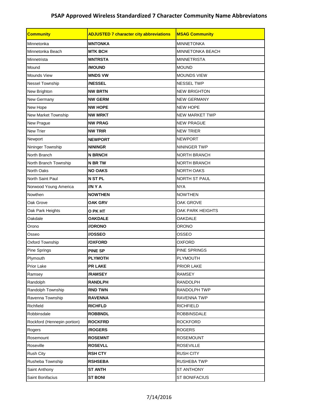| <b>Community</b>            | <b>ADJUSTED 7 character city abbreviations</b><br><b>MSAG Community</b> |                         |  |  |
|-----------------------------|-------------------------------------------------------------------------|-------------------------|--|--|
| Minnetonka                  | <b>MNTONKA</b><br><b>MINNETONKA</b>                                     |                         |  |  |
| Minnetonka Beach            | <b>MTK BCH</b>                                                          | <b>MINNETONKA BEACH</b> |  |  |
| Minnetrista                 | <b>MNTRSTA</b>                                                          | <b>MINNETRISTA</b>      |  |  |
| Mound                       | /MOUND                                                                  | <b>MOUND</b>            |  |  |
| Mounds View                 | <b>MNDS VW</b>                                                          | <b>MOUNDS VIEW</b>      |  |  |
| Nessel Township             | <b>/NESSEL</b>                                                          | <b>NESSEL TWP</b>       |  |  |
| New Brighton                | <b>NW BRTN</b>                                                          | <b>NEW BRIGHTON</b>     |  |  |
| New Germany                 | <b>NW GERM</b>                                                          | <b>NEW GERMANY</b>      |  |  |
| New Hope                    | <b>NW HOPE</b>                                                          | <b>NEW HOPE</b>         |  |  |
| New Market Township         | <b>NW MRKT</b>                                                          | <b>NEW MARKET TWP</b>   |  |  |
| New Prague                  | <b>NW PRAG</b>                                                          | <b>NEW PRAGUE</b>       |  |  |
| New Trier                   | <b>NW TRIR</b>                                                          | <b>NEW TRIER</b>        |  |  |
| Newport                     | <b>NEWPORT</b>                                                          | <b>NEWPORT</b>          |  |  |
| Nininger Township           | <b>NININGR</b>                                                          | NININGER TWP            |  |  |
| North Branch                | <b>N BRNCH</b>                                                          | <b>NORTH BRANCH</b>     |  |  |
| North Branch Township       | <b>N BR TW</b>                                                          | <b>NORTH BRANCH</b>     |  |  |
| North Oaks                  | <b>NO OAKS</b>                                                          | <b>NORTH OAKS</b>       |  |  |
| North Saint Paul            | <b>N ST PL</b>                                                          | NORTH ST PAUL           |  |  |
| Norwood Young America       | //NYA                                                                   | <b>NYA</b>              |  |  |
| Nowthen                     | <b>NOWTHEN</b>                                                          | <b>NOWTHEN</b>          |  |  |
| Oak Grove                   | OAK GRV                                                                 | OAK GROVE               |  |  |
| Oak Park Heights            | O PK HT                                                                 | <b>OAK PARK HEIGHTS</b> |  |  |
| Oakdale                     | <b>OAKDALE</b>                                                          | <b>OAKDALE</b>          |  |  |
| Orono                       | //ORONO                                                                 | ORONO                   |  |  |
| Osseo                       | //OSSEO                                                                 | OSSEO                   |  |  |
| Oxford Township             | <b>/OXFORD</b>                                                          | OXFORD                  |  |  |
| Pine Springs                | <b>PINE SP</b>                                                          | PINE SPRINGS            |  |  |
| Plymouth                    | <b>PLYMOTH</b>                                                          | <b>PLYMOUTH</b>         |  |  |
| Prior Lake                  | <b>PR LAKE</b>                                                          | PRIOR LAKE              |  |  |
| Ramsey                      | /RAMSEY                                                                 | <b>RAMSEY</b>           |  |  |
| Randolph                    | <b>RANDLPH</b>                                                          | <b>RANDOLPH</b>         |  |  |
| Randolph Township           | <b>RND TWN</b>                                                          | RANDOLPH TWP            |  |  |
| Ravenna Township            | <b>RAVENNA</b>                                                          | <b>RAVENNA TWP</b>      |  |  |
| Richfield                   | <b>RICHFLD</b>                                                          | <b>RICHFIELD</b>        |  |  |
| Robbinsdale                 | <b>ROBBNDL</b>                                                          | <b>ROBBINSDALE</b>      |  |  |
| Rockford (Hennepin portion) | <b>ROCKFRD</b>                                                          | <b>ROCKFORD</b>         |  |  |
| Rogers                      | /ROGERS                                                                 | <b>ROGERS</b>           |  |  |
| Rosemount                   | <b>ROSEMNT</b>                                                          | <b>ROSEMOUNT</b>        |  |  |
| Roseville                   | <b>ROSEVLL</b>                                                          | <b>ROSEVILLE</b>        |  |  |
| <b>Rush City</b>            | <b>RSH CTY</b>                                                          | <b>RUSH CITY</b>        |  |  |
| Rusheba Township            | <b>RSHSEBA</b>                                                          | RUSHEBA TWP             |  |  |
| Saint Anthony               | <b>ST ANTH</b>                                                          | ST ANTHONY              |  |  |
| Saint Bonifacius            | <b>ST BONI</b>                                                          | ST BONIFACIUS           |  |  |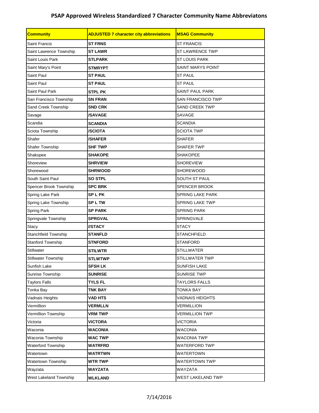| <b>Community</b>           | <b>ADJUSTED 7 character city abbreviations</b><br><b>MSAG Community</b> |                          |  |  |
|----------------------------|-------------------------------------------------------------------------|--------------------------|--|--|
| <b>Saint Francis</b>       | <b>ST FRNS</b>                                                          | <b>ST FRANCIS</b>        |  |  |
| Saint Lawrence Township    | <b>ST LAWR</b>                                                          | <b>ST LAWRENCE TWP</b>   |  |  |
| Saint Louis Park           | <b>STLPARK</b>                                                          | <b>ST LOUIS PARK</b>     |  |  |
| Saint Mary's Point         | <b>STMRYPT</b>                                                          | <b>SAINT MARYS POINT</b> |  |  |
| Saint Paul                 | <b>ST PAUL</b>                                                          | <b>ST PAUL</b>           |  |  |
| Saint Paul                 | <b>ST PAUL</b>                                                          | <b>ST PAUL</b>           |  |  |
| Saint Paul Park            | <b>STPL PK</b>                                                          | <b>SAINT PAUL PARK</b>   |  |  |
| San Francisco Township     | <b>SN FRAN</b>                                                          | <b>SAN FRANCISCO TWP</b> |  |  |
| Sand Creek Township        | <b>SND CRK</b>                                                          | <b>SAND CREEK TWP</b>    |  |  |
| Savage                     | <b>/SAVAGE</b>                                                          | <b>SAVAGE</b>            |  |  |
| Scandia                    | <b>SCANDIA</b>                                                          | <b>SCANDIA</b>           |  |  |
| Sciota Township            | <b>/SCIOTA</b>                                                          | <b>SCIOTA TWP</b>        |  |  |
| Shafer                     | <b>/SHAFER</b>                                                          | <b>SHAFER</b>            |  |  |
| Shafer Township            | <b>SHF TWP</b>                                                          | <b>SHAFER TWP</b>        |  |  |
| Shakopee                   | <b>SHAKOPE</b>                                                          | <b>SHAKOPEE</b>          |  |  |
| Shoreview                  | <b>SHRVIEW</b>                                                          | <b>SHOREVIEW</b>         |  |  |
| Shorewood                  | <b>SHRWOOD</b>                                                          | <b>SHOREWOOD</b>         |  |  |
| South Saint Paul           | <b>SO STPL</b>                                                          | <b>SOUTH ST PAUL</b>     |  |  |
| Spencer Brook Township     | <b>SPC BRK</b>                                                          | <b>SPENCER BROOK</b>     |  |  |
| Spring Lake Park           | <b>SPLPK</b>                                                            | <b>SPRING LAKE PARK</b>  |  |  |
| Spring Lake Township       | <b>SPLTW</b>                                                            | <b>SPRING LAKE TWP</b>   |  |  |
| Spring Park                | <b>SP PARK</b>                                                          | <b>SPRING PARK</b>       |  |  |
| Springvale Township        | <b>SPRGVAL</b>                                                          | <b>SPRINGVALE</b>        |  |  |
| Stacy                      | <b>IISTACY</b>                                                          | <b>STACY</b>             |  |  |
| Stanchfield Township       | <b>STANFLD</b>                                                          | <b>STANCHFIELD</b>       |  |  |
| <b>Stanford Township</b>   | <b>STNFORD</b>                                                          | <b>STANFORD</b>          |  |  |
| Stillwater                 | <b>STILWTR</b>                                                          | <b>STILLWATER</b>        |  |  |
| <b>Stillwater Township</b> | <b>STLWTWP</b>                                                          | STILLWATER TWP           |  |  |
| Sunfish Lake               | <b>SFSH LK</b>                                                          | <b>SUNFISH LAKE</b>      |  |  |
| Sunrise Township           | <b>SUNRISE</b>                                                          | <b>SUNRISE TWP</b>       |  |  |
| <b>Taylors Falls</b>       | <b>TYLS FL</b>                                                          | <b>TAYLORS FALLS</b>     |  |  |
| Tonka Bay                  | <b>TNK BAY</b>                                                          | <b>TONKA BAY</b>         |  |  |
| Vadnais Heights            | <b>VAD HTS</b>                                                          | <b>VADNAIS HEIGHTS</b>   |  |  |
| Vermillion                 | <b>VERMLLN</b>                                                          | <b>VERMILLION</b>        |  |  |
| Vermillion Township        | <b>VRM TWP</b>                                                          | <b>VERMILLION TWP</b>    |  |  |
| Victoria                   | <b>VICTORA</b>                                                          | <b>VICTORIA</b>          |  |  |
| Waconia                    | <b>WACONIA</b>                                                          | <b>WACONIA</b>           |  |  |
| Waconia Township           | <b>WAC TWP</b>                                                          | <b>WACONIA TWP</b>       |  |  |
| Waterford Township         | WATRFRD                                                                 | WATERFORD TWP            |  |  |
| Watertown                  | <b>WATRTWN</b>                                                          | WATERTOWN                |  |  |
| Watertown Township         | <b>WTR TWP</b>                                                          | <b>WATERTOWN TWP</b>     |  |  |
| Wayzata                    | <b>WAYZATA</b>                                                          | <b>WAYZATA</b>           |  |  |
| West Lakeland Township     | <b>WLKLAND</b>                                                          | WEST LAKELAND TWP        |  |  |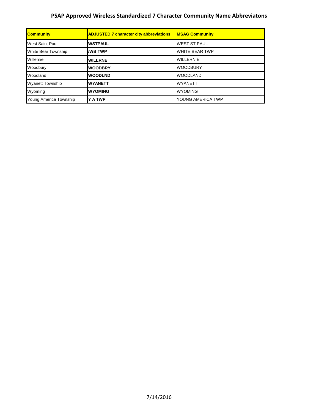| <b>Community</b>        | <b>ADJUSTED 7 character city abbreviations</b> | <b>MSAG Community</b> |
|-------------------------|------------------------------------------------|-----------------------|
| <b>West Saint Paul</b>  | <b>WSTPAUL</b>                                 | <b>WEST ST PAUL</b>   |
| White Bear Township     | <b>I/WB TWP</b>                                | <b>WHITE BEAR TWP</b> |
| Willernie               | <b>WILLRNE</b>                                 | <b>WILLERNIE</b>      |
| Woodbury                | <b>WOODBRY</b>                                 | <b>WOODBURY</b>       |
| Woodland                | <b>WOODLND</b>                                 | <b>WOODLAND</b>       |
| <b>Wyanett Township</b> | <b>WYANETT</b>                                 | <b>WYANETT</b>        |
| Wyoming                 | <b>WYOMING</b>                                 | <b>WYOMING</b>        |
| Young America Township  | <b>Y A TWP</b>                                 | YOUNG AMERICA TWP     |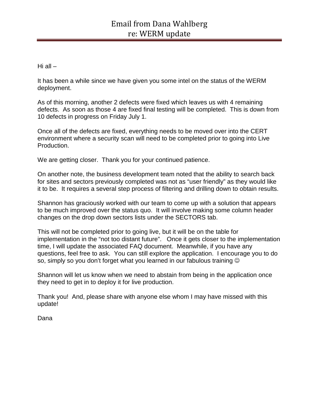Hi all  $-$ 

It has been a while since we have given you some intel on the status of the WERM deployment.

As of this morning, another 2 defects were fixed which leaves us with 4 remaining defects. As soon as those 4 are fixed final testing will be completed. This is down from 10 defects in progress on Friday July 1.

Once all of the defects are fixed, everything needs to be moved over into the CERT environment where a security scan will need to be completed prior to going into Live Production.

We are getting closer. Thank you for your continued patience.

On another note, the business development team noted that the ability to search back for sites and sectors previously completed was not as "user friendly" as they would like it to be. It requires a several step process of filtering and drilling down to obtain results.

Shannon has graciously worked with our team to come up with a solution that appears to be much improved over the status quo. It will involve making some column header changes on the drop down sectors lists under the SECTORS tab.

This will not be completed prior to going live, but it will be on the table for implementation in the "not too distant future". Once it gets closer to the implementation time, I will update the associated FAQ document. Meanwhile, if you have any questions, feel free to ask. You can still explore the application. I encourage you to do so, simply so you don't forget what you learned in our fabulous training  $\circledcirc$ 

Shannon will let us know when we need to abstain from being in the application once they need to get in to deploy it for live production.

Thank you! And, please share with anyone else whom I may have missed with this update!

Dana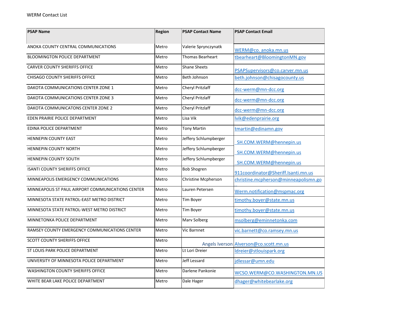| <b>PSAP Name</b>                                  | Region | <b>PSAP Contact Name</b> | <b>PSAP Contact Email</b>               |  |  |  |
|---------------------------------------------------|--------|--------------------------|-----------------------------------------|--|--|--|
| ANOKA COUNTY CENTRAL COMMUNICATIONS               | Metro  | Valerie Sprynczynatk     | WERM@co. anoka.mn.us                    |  |  |  |
| <b>BLOOMINGTON POLICE DEPARTMENT</b>              | Metro  | <b>Thomas Bearheart</b>  | tbearheart@BloomingtonMN.gov            |  |  |  |
| <b>CARVER COUNTY SHERIFFS OFFICE</b>              | Metro  | <b>Shane Sheets</b>      | PSAPSupervisors@co.carver.mn.us         |  |  |  |
| CHISAGO COUNTY SHERIFFS OFFICE                    | Metro  | Beth Johnson             | beth.johnson@chisagocounty.us           |  |  |  |
| DAKOTA COMMUNICATIONS CENTER ZONE 1               | Metro  | Cheryl Pritzlaff         | dcc-werm@mn-dcc.org                     |  |  |  |
| DAKOTA COMMUNICATIONS CENTER ZONE 3               | Metro  | <b>Cheryl Pritzlaff</b>  | dcc-werm@mn-dcc.org                     |  |  |  |
| DAKOTA COMMUNICATONS CENTER ZONE 2                | Metro  | Cheryl Pritzlaff         | dcc-werm@mn-dcc.org                     |  |  |  |
| EDEN PRAIRIE POLICE DEPARTMENT                    | Metro  | Lisa Vik                 | lvik@edenprairie.org                    |  |  |  |
| EDINA POLICE DEPARTMENT                           | Metro  | <b>Tony Martin</b>       | tmartin@edinamn.gov                     |  |  |  |
| <b>HENNEPIN COUNTY EAST</b>                       | Metro  | Jeffery Schlumpberger    | SH.COM.WERM@hennepin.us                 |  |  |  |
| <b>HENNEPIN COUNTY NORTH</b>                      | Metro  | Jeffery Schlumpberger    | SH.COM.WERM@hennepin.us                 |  |  |  |
| HENNEPIN COUNTY SOUTH                             | Metro  | Jeffery Schlumpberger    | SH.COM.WERM@hennepin.us                 |  |  |  |
| <b>ISANTI COUNTY SHERIFFS OFFICE</b>              | Metro  | <b>Bob Shogren</b>       | 911coordinator@Sheriff.Isanti.mn.us     |  |  |  |
| MINNEAPOLIS EMERGENCY COMMUNICATIONS              | Metro  | Christine Mcpherson      | christine.mcpherson@minneapolismn.go    |  |  |  |
| MINNEAPOLIS ST PAUL AIRPORT COMMUNICATIONS CENTER | Metro  | Lauren Petersen          | Werm.notification@mspmac.org            |  |  |  |
| MINNESOTA STATE PATROL-EAST METRO DISTRICT        | Metro  | Tim Boyer                | timothy.boyer@state.mn.us               |  |  |  |
| MINNESOTA STATE PATROL-WEST METRO DISTRICT        | Metro  | Tim Boyer                | timothy.boyer@state.mn.us               |  |  |  |
| MINNETONKA POLICE DEPARTMENT                      | Metro  | Marv Solberg             | msolberg@eminnetonka.com                |  |  |  |
| RAMSEY COUNTY EMERGENCY COMMUNICATIONS CENTER     | Metro  | Vic Barnnet              | vic.barnett@co.ramsey.mn.us             |  |  |  |
| <b>SCOTT COUNTY SHERIFFS OFFICE</b>               | Metro  |                          | Angels Iverson Alverson @co.scott.mn.us |  |  |  |
| ST LOUIS PARK POLICE DEPARTMENT                   | Metro  | Lt Lori Dreier           | Idreier@stlouispark.org                 |  |  |  |
| UNIVERSITY OF MINNESOTA POLICE DEPARTMENT         | Metro  | Jeff Lessard             | jdlessar@umn.edu                        |  |  |  |
| <b>WASHINGTON COUNTY SHERIFFS OFFICE</b>          | Metro  | Darlene Pankonie         | WCSO.WERM@CO.WASHINGTON.MN.US           |  |  |  |
| WHITE BEAR LAKE POLICE DEPARTMENT                 | Metro  | Dale Hager               | dhager@whitebearlake.org                |  |  |  |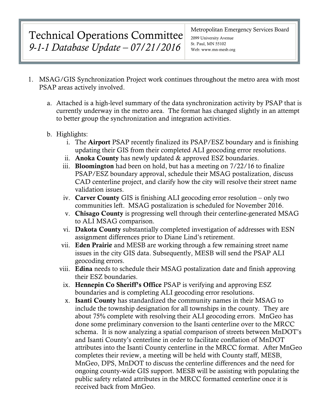## Technical Operations Committee *9-1-1 Database Update – 07/21/2016*

#### Metropolitan Emergency Services Board

2099 University Avenue St. Paul, MN 55102 Web: www.mn-mesb.org

- 1. MSAG/GIS Synchronization Project work continues throughout the metro area with most PSAP areas actively involved.
	- a. Attached is a high-level summary of the data synchronization activity by PSAP that is currently underway in the metro area. The format has changed slightly in an attempt to better group the synchronization and integration activities.
	- b. Highlights:
		- i. The Airport PSAP recently finalized its PSAP/ESZ boundary and is finishing updating their GIS from their completed ALI geocoding error resolutions.
		- ii. Anoka County has newly updated & approved ESZ boundaries.
		- iii. Bloomington had been on hold, but has a meeting on 7/22/16 to finalize PSAP/ESZ boundary approval, schedule their MSAG postalization, discuss CAD centerline project, and clarify how the city will resolve their street name validation issues.
		- iv. Carver County GIS is finishing ALI geocoding error resolution only two communities left. MSAG postalization is scheduled for November 2016.
		- v. Chisago County is progressing well through their centerline-generated MSAG to ALI MSAG comparison.
		- vi. Dakota County substantially completed investigation of addresses with ESN assignment differences prior to Diane Lind's retirement.
		- vii. Eden Prairie and MESB are working through a few remaining street name issues in the city GIS data. Subsequently, MESB will send the PSAP ALI geocoding errors.
		- viii. Edina needs to schedule their MSAG postalization date and finish approving their ESZ boundaries.
			- ix. Hennepin Co Sheriff's Office PSAP is verifying and approving ESZ boundaries and is completing ALI geocoding error resolutions.
			- x. Isanti County has standardized the community names in their MSAG to include the township designation for all townships in the county. They are about 75% complete with resolving their ALI geocoding errors. MnGeo has done some preliminary conversion to the Isanti centerline over to the MRCC schema. It is now analyzing a spatial comparison of streets between MnDOT's and Isanti County's centerline in order to facilitate conflation of MnDOT attributes into the Isanti County centerline in the MRCC format. After MnGeo completes their review, a meeting will be held with County staff, MESB, MnGeo, DPS, MnDOT to discuss the centerline differences and the need for ongoing county-wide GIS support. MESB will be assisting with populating the public safety related attributes in the MRCC formatted centerline once it is received back from MnGeo.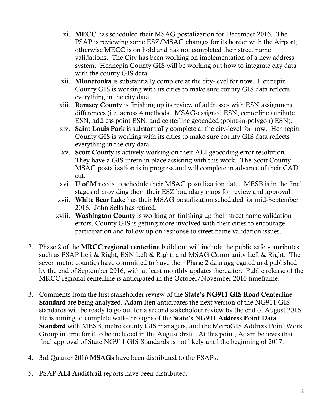- xi. MECC has scheduled their MSAG postalization for December 2016. The PSAP is reviewing some ESZ/MSAG changes for its border with the Airport; otherwise MECC is on hold and has not completed their street name validations. The City has been working on implementation of a new address system. Hennepin County GIS will be working out how to integrate city data with the county GIS data.
- xii. Minnetonka is substantially complete at the city-level for now. Hennepin County GIS is working with its cities to make sure county GIS data reflects everything in the city data.
- xiii. Ramsey County is finishing up its review of addresses with ESN assignment differences (i.e. across 4 methods: MSAG-assigned ESN, centerline attribute ESN, address point ESN, and centerline geocoded (point-in-polygon) ESN).
- xiv. Saint Louis Park is substantially complete at the city-level for now. Hennepin County GIS is working with its cities to make sure county GIS data reflects everything in the city data.
- xv. Scott County is actively working on their ALI geocoding error resolution. They have a GIS intern in place assisting with this work. The Scott County MSAG postalization is in progress and will complete in advance of their CAD cut.
- xvi. U of M needs to schedule their MSAG postalization date. MESB is in the final stages of providing them their ESZ boundary maps for review and approval.
- xvii. White Bear Lake has their MSAG postalization scheduled for mid-September 2016. John Sells has retired.
- xviii. Washington County is working on finishing up their street name validation errors. County GIS is getting more involved with their cities to encourage participation and follow-up on response to street name validation issues.
- 2. Phase 2 of the **MRCC regional centerline** build out will include the public safety attributes such as PSAP Left & Right, ESN Left & Right, and MSAG Community Left & Right. The seven metro counties have committed to have their Phase 2 data aggregated and published by the end of September 2016, with at least monthly updates thereafter. Public release of the MRCC regional centerline is anticipated in the October/November 2016 timeframe.
- 3. Comments from the first stakeholder review of the State's NG911 GIS Road Centerline Standard are being analyzed. Adam Iten anticipates the next version of the NG911 GIS standards will be ready to go out for a second stakeholder review by the end of August 2016. He is aiming to complete walk-throughs of the State's NG911 Address Point Data Standard with MESB, metro county GIS managers, and the MetroGIS Address Point Work Group in time for it to be included in the August draft. At this point, Adam believes that final approval of State NG911 GIS Standards is not likely until the beginning of 2017.
- 4. 3rd Quarter 2016 MSAGs have been distributed to the PSAPs.
- 5. PSAP ALI Audittrail reports have been distributed.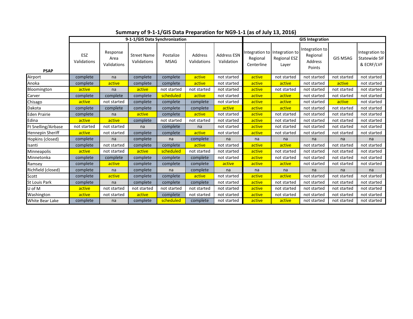|                         | 9-1-1/GIS Data Synchronization |                                 |                                   |                          |                        |                                  | <b>GIS Integration</b>                   |                                                |                                                        |                 |                                               |
|-------------------------|--------------------------------|---------------------------------|-----------------------------------|--------------------------|------------------------|----------------------------------|------------------------------------------|------------------------------------------------|--------------------------------------------------------|-----------------|-----------------------------------------------|
| <b>PSAP</b>             | ESZ<br>Validations             | Response<br>Area<br>Validations | <b>Street Name</b><br>Validations | Postalize<br><b>MSAG</b> | Address<br>Validations | <b>Address ESN</b><br>Validation | Integration to<br>Regional<br>Centerline | Integration to<br><b>Regional ESZ</b><br>Layer | Integration to<br>Regional<br><b>Address</b><br>Points | <b>GIS MSAG</b> | Integration to<br>Statewide SIF<br>& ECRF/LVF |
| Airport                 | complete                       | na                              | complete                          | complete                 | active                 | not started                      | active                                   | not started                                    | not started                                            | not started     | not started                                   |
| Anoka                   | complete                       | active                          | complete                          | complete                 | active                 | not started                      | active                                   | active                                         | not started                                            | active          | not started                                   |
| Bloomington             | active                         | na                              | active                            | not started              | not started            | not started                      | active                                   | not started                                    | not started                                            | not started     | not started                                   |
| Carver                  | complete                       | complete                        | complete                          | scheduled                | active                 | not started                      | active                                   | active                                         | not started                                            | not started     | not started                                   |
| Chisago                 | active                         | not started                     | complete                          | complete                 | complete               | not started                      | active                                   | active                                         | not started                                            | active          | not started                                   |
| Dakota                  | complete                       | complete                        | complete                          | complete                 | complete               | active                           | active                                   | active                                         | not started                                            | not started     | not started                                   |
| <b>Eden Prairie</b>     | complete                       | na                              | active                            | complete                 | active                 | not started                      | active                                   | not started                                    | not started                                            | not started     | not started                                   |
| Edina                   | active                         | active                          | complete                          | not started              | not started            | not started                      | active                                   | not started                                    | not started                                            | not started     | not started                                   |
| Ft Snelling/Airbase     | not started                    | not started                     | na                                | complete                 | na                     | not started                      | active                                   | not started                                    | not started                                            | not started     | not started                                   |
| <b>Hennepin Sheriff</b> | active                         | not started                     | complete                          | complete                 | active                 | not started                      | active                                   | not started                                    | not started                                            | not started     | not started                                   |
| Hopkins (closed)        | complete                       | na                              | complete                          | na                       | complete               | na                               | na                                       | na                                             | na                                                     | na              | na                                            |
| Isanti                  | complete                       | not started                     | complete                          | complete                 | active                 | not started                      | active                                   | active                                         | not started                                            | not started     | not started                                   |
| Minneapolis             | active                         | not started                     | active                            | scheduled                | not started            | not started                      | active                                   | not started                                    | not started                                            | not started     | not started                                   |
| Minnetonka              | complete                       | complete                        | complete                          | complete                 | complete               | not started                      | active                                   | not started                                    | not started                                            | not started     | not started                                   |
| Ramsey                  | complete                       | active                          | complete                          | complete                 | complete               | active                           | active                                   | active                                         | not started                                            | not started     | not started                                   |
| Richfield (closed)      | complete                       | na                              | complete                          | na                       | complete               | na                               | na                                       | na                                             | na                                                     | na              | na                                            |
| Scott                   | complete                       | active                          | complete                          | complete                 | active                 | not started                      | active                                   | active                                         | not started                                            | not started     | not started                                   |
| <b>St Louis Park</b>    | complete                       | na                              | complete                          | complete                 | complete               | not started                      | active                                   | not started                                    | not started                                            | not started     | not started                                   |
| U of M                  | active                         | not started                     | not started                       | not started              | not started            | not started                      | active                                   | not started                                    | not started                                            | not started     | not started                                   |
| Washington              | active                         | not started                     | active                            | complete                 | not started            | not started                      | active                                   | not started                                    | not started                                            | not started     | not started                                   |
| White Bear Lake         | complete                       | na                              | complete                          | scheduled                | complete               | not started                      | active                                   | active                                         | not started                                            | not started     | not started                                   |

**Summary of 9-1-1/GIS Data Preparation for NG9-1-1 (as of July 13, 2016)**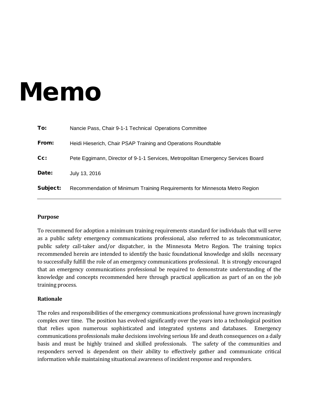# Memo

| To:      | Nancie Pass, Chair 9-1-1 Technical Operations Committee                          |
|----------|----------------------------------------------------------------------------------|
| From:    | Heidi Hieserich, Chair PSAP Training and Operations Roundtable                   |
| $Cc$ :   | Pete Eggimann, Director of 9-1-1 Services, Metropolitan Emergency Services Board |
| Date:    | July 13, 2016                                                                    |
| Subject: | Recommendation of Minimum Training Requirements for Minnesota Metro Region       |

#### **Purpose**

To recommend for adoption a minimum training requirements standard for individuals that will serve as a public safety emergency communications professional, also referred to as telecommunicator, public safety call-taker and/or dispatcher, in the Minnesota Metro Region. The training topics recommended herein are intended to identify the basic foundational knowledge and skills necessary to successfully fulfill the role of an emergency communications professional. It is strongly encouraged that an emergency communications professional be required to demonstrate understanding of the knowledge and concepts recommended here through practical application as part of an on the job training process.

#### **Rationale**

The roles and responsibilities of the emergency communications professional have grown increasingly complex over time. The position has evolved significantly over the years into a technological position that relies upon numerous sophisticated and integrated systems and databases. Emergency communications professionals make decisions involving serious life and death consequences on a daily basis and must be highly trained and skilled professionals. The safety of the communities and responders served is dependent on their ability to effectively gather and communicate critical information while maintaining situational awareness of incident response and responders.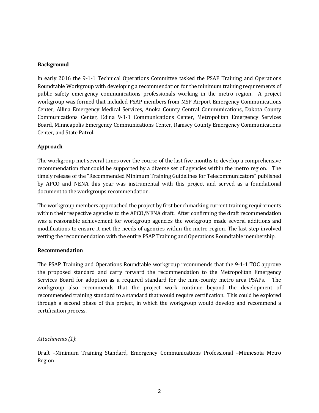#### **Background**

In early 2016 the 9-1-1 Technical Operations Committee tasked the PSAP Training and Operations Roundtable Workgroup with developing a recommendation for the minimum training requirements of public safety emergency communications professionals working in the metro region. A project workgroup was formed that included PSAP members from MSP Airport Emergency Communications Center, Allina Emergency Medical Services, Anoka County Central Communications, Dakota County Communications Center, Edina 9-1-1 Communications Center, Metropolitan Emergency Services Board, Minneapolis Emergency Communications Center, Ramsey County Emergency Communications Center, and State Patrol.

#### **Approach**

The workgroup met several times over the course of the last five months to develop a comprehensive recommendation that could be supported by a diverse set of agencies within the metro region. The timely release of the "Recommended Minimum Training Guidelines for Telecommunicators" published by APCO and NENA this year was instrumental with this project and served as a foundational document to the workgroups recommendation.

The workgroup members approached the project by first benchmarking current training requirements within their respective agencies to the APCO/NENA draft. After confirming the draft recommendation was a reasonable achievement for workgroup agencies the workgroup made several additions and modifications to ensure it met the needs of agencies within the metro region. The last step involved vetting the recommendation with the entire PSAP Training and Operations Roundtable membership.

#### **Recommendation**

The PSAP Training and Operations Roundtable workgroup recommends that the 9-1-1 TOC approve the proposed standard and carry forward the recommendation to the Metropolitan Emergency Services Board for adoption as a required standard for the nine-county metro area PSAPs. The workgroup also recommends that the project work continue beyond the development of recommended training standard to a standard that would require certification. This could be explored through a second phase of this project, in which the workgroup would develop and recommend a certification process.

#### *Attachments (1)*:

Draft –Minimum Training Standard, Emergency Communications Professional –Minnesota Metro Region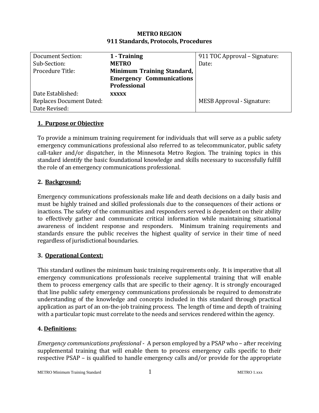| <b>METRO REGION</b>                  |
|--------------------------------------|
| 911 Standards, Protocols, Procedures |

| Document Section:               | 1 - Training                    | 911 TOC Approval – Signature:     |
|---------------------------------|---------------------------------|-----------------------------------|
| Sub-Section:                    | <b>METRO</b>                    | Date:                             |
| Procedure Title:                | Minimum Training Standard,      |                                   |
|                                 | <b>Emergency Communications</b> |                                   |
|                                 | <b>Professional</b>             |                                   |
| Date Established:               | <b>XXXXX</b>                    |                                   |
| <b>Replaces Document Dated:</b> |                                 | <b>MESB Approval - Signature:</b> |
| Date Revised:                   |                                 |                                   |

## **1. Purpose or Objective**

To provide a minimum training requirement for individuals that will serve as a public safety emergency communications professional also referred to as telecommunicator, public safety call-taker and/or dispatcher, in the Minnesota Metro Region. The training topics in this standard identify the basic foundational knowledge and skills necessary to successfully fulfill the role of an emergency communications professional.

## **2. Background:**

Emergency communications professionals make life and death decisions on a daily basis and must be highly trained and skilled professionals due to the consequences of their actions or inactions. The safety of the communities and responders served is dependent on their ability to effectively gather and communicate critical information while maintaining situational awareness of incident response and responders. Minimum training requirements and standards ensure the public receives the highest quality of service in their time of need regardless of jurisdictional boundaries.

## **3. Operational Context:**

This standard outlines the minimum basic training requirements only. It is imperative that all emergency communications professionals receive supplemental training that will enable them to process emergency calls that are specific to their agency. It is strongly encouraged that line public safety emergency communications professionals be required to demonstrate understanding of the knowledge and concepts included in this standard through practical application as part of an on-the-job training process. The length of time and depth of training with a particular topic must correlate to the needs and services rendered within the agency.

## **4. Definitions:**

*Emergency communications professional* - A person employed by a PSAP who – after receiving supplemental training that will enable them to process emergency calls specific to their respective PSAP – is qualified to handle emergency calls and/or provide for the appropriate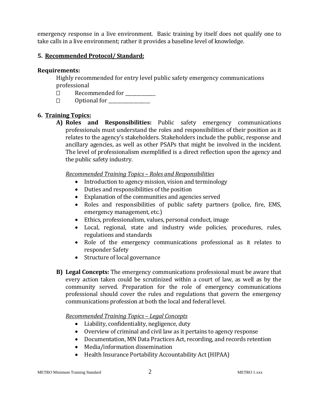emergency response in a live environment. Basic training by itself does not qualify one to take calls in a live environment; rather it provides a baseline level of knowledge.

## **5. Recommended Protocol/ Standard:**

#### **Requirements:**

Highly recommended for entry level public safety emergency communications professional<br>  $\square$  Recon

- Recommended for \_\_\_\_\_\_\_\_\_\_\_\_\_
	- Optional for \_\_\_\_\_\_\_\_\_\_\_\_\_\_\_\_\_\_

## **6. Training Topics:**

**A) Roles and Responsibilities:** Public safety emergency communications professionals must understand the roles and responsibilities of their position as it relates to the agency's stakeholders. Stakeholders include the public, response and ancillary agencies, as well as other PSAPs that might be involved in the incident. The level of professionalism exemplified is a direct reflection upon the agency and the public safety industry.

*Recommended Training Topics – Roles and Responsibilities*

- Introduction to agency mission, vision and terminology
- Duties and responsibilities of the position
- Explanation of the communities and agencies served
- Roles and responsibilities of public safety partners (police, fire, EMS, emergency management, etc.)
- Ethics, professionalism, values, personal conduct, image
- Local, regional, state and industry wide policies, procedures, rules, regulations and standards
- Role of the emergency communications professional as it relates to responder Safety
- Structure of local governance
- **B) Legal Concepts:** The emergency communications professional must be aware that every action taken could be scrutinized within a court of law, as well as by the community served. Preparation for the role of emergency communications professional should cover the rules and regulations that govern the emergency communications profession at both the local and federal level.

## *Recommended Training Topics – Legal Concepts*

- Liability, confidentiality, negligence, duty
- Overview of criminal and civil law as it pertains to agency response
- Documentation, MN Data Practices Act, recording, and records retention
- Media/information dissemination
- Health Insurance Portability Accountability Act (HIPAA)

#### METRO Minimum Training Standard 2 2 METRO 1.xxx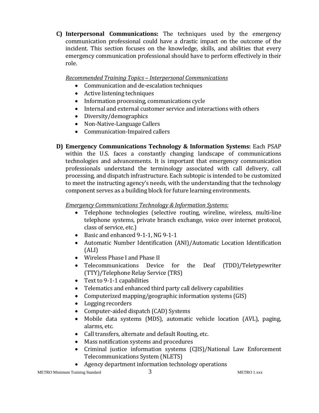**C) Interpersonal Communications:** The techniques used by the emergency communication professional could have a drastic impact on the outcome of the incident. This section focuses on the knowledge, skills, and abilities that every emergency communication professional should have to perform effectively in their role.

*Recommended Training Topics – Interpersonal Communications*

- Communication and de-escalation techniques
- Active listening techniques
- Information processing, communications cycle
- Internal and external customer service and interactions with others
- Diversity/demographics
- Non-Native-Language Callers
- Communication-Impaired callers
- **D) Emergency Communications Technology & Information Systems:** Each PSAP within the U.S. faces a constantly changing landscape of communications technologies and advancements. It is important that emergency communication professionals understand the terminology associated with call delivery, call processing, and dispatch infrastructure. Each subtopic is intended to be customized to meet the instructing agency's needs, with the understanding that the technology component serves as a building block for future learning environments.

## *Emergency Communications Technology & Information Systems:*

- Telephone technologies (selective routing, wireline, wireless, multi-line telephone systems, private branch exchange, voice over internet protocol, class of service, etc.)
- Basic and enhanced 9-1-1, NG 9-1-1
- Automatic Number Identification (ANI)/Automatic Location Identification (ALI)
- Wireless Phase I and Phase II
- Telecommunications Device for the Deaf (TDD)/Teletypewriter (TTY)/Telephone Relay Service (TRS)
- Text to 9-1-1 capabilities
- Telematics and enhanced third party call delivery capabilities
- Computerized mapping/geographic information systems (GIS)
- Logging recorders
- Computer-aided dispatch (CAD) Systems<br>• Mobile data systems (MDS), automatic
- Mobile data systems (MDS), automatic vehicle location (AVL), paging, alarms, etc.
- Call transfers, alternate and default Routing, etc.
- Mass notification systems and procedures
- Criminal justice information systems (CJIS)/National Law Enforcement Telecommunications System (NLETS)
- Agency department information technology operations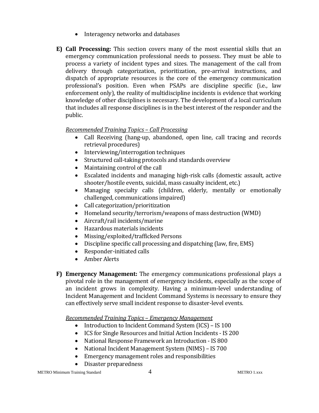- Interagency networks and databases
- **E) Call Processing:** This section covers many of the most essential skills that an emergency communication professional needs to possess. They must be able to process a variety of incident types and sizes. The management of the call from delivery through categorization, prioritization, pre-arrival instructions, and dispatch of appropriate resources is the core of the emergency communication professional's position. Even when PSAPs are discipline specific (i.e., law enforcement only), the reality of multidiscipline incidents is evidence that working knowledge of other disciplines is necessary. The development of a local curriculum that includes all response disciplines is in the best interest of the responder and the public.

## *Recommended Training Topics – Call Processing*

- Call Receiving (hang-up, abandoned, open line, call tracing and records retrieval procedures)
- Interviewing/interrogation techniques
- Structured call-taking protocols and standards overview
- Maintaining control of the call
- Escalated incidents and managing high-risk calls (domestic assault, active shooter/hostile events, suicidal, mass casualty incident, etc.)
- Managing specialty calls (children, elderly, mentally or emotionally challenged, communications impaired)
- Call categorization/prioritization
- Homeland security/terrorism/weapons of mass destruction (WMD)
- Aircraft/rail incidents/marine
- Hazardous materials incidents
- Missing/exploited/trafficked Persons
- Discipline specific call processing and dispatching (law, fire, EMS)
- Responder-initiated calls
- Amber Alerts
- **F) Emergency Management:** The emergency communications professional plays a pivotal role in the management of emergency incidents, especially as the scope of an incident grows in complexity. Having a minimum-level understanding of Incident Management and Incident Command Systems is necessary to ensure they can effectively serve small incident response to disaster-level events.

*Recommended Training Topics – Emergency Management*

- Introduction to Incident Command System (ICS) IS 100
- ICS for Single Resources and Initial Action Incidents IS 200
- National Response Framework an Introduction IS 800
- National Incident Management System (NIMS) IS 700
- Emergency management roles and responsibilities
- Disaster preparedness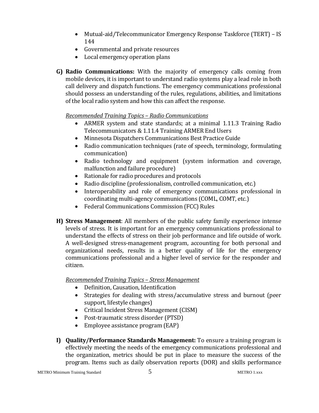- Mutual-aid/Telecommunicator Emergency Response Taskforce (TERT) IS 144
- Governmental and private resources
- Local emergency operation plans
- **G) Radio Communications:** With the majority of emergency calls coming from mobile devices, it is important to understand radio systems play a lead role in both call delivery and dispatch functions. The emergency communications professional should possess an understanding of the rules, regulations, abilities, and limitations of the local radio system and how this can affect the response.

## *Recommended Training Topics – Radio Communications*

- ARMER system and state standards; at a minimal 1.11.3 Training Radio Telecommunicators & 1.11.4 Training ARMER End Users
- Minnesota Dispatchers Communications Best Practice Guide
- Radio communication techniques (rate of speech, terminology, formulating communication)
- Radio technology and equipment (system information and coverage, malfunction and failure procedure)
- Rationale for radio procedures and protocols<br>• Radio discipline (professionalism, controlled of
- Radio discipline (professionalism, controlled communication, etc.)
- Interoperability and role of emergency communications professional in coordinating multi-agency communications (COML, COMT, etc.)
- Federal Communications Commission (FCC) Rules
- **H) Stress Management**: All members of the public safety family experience intense levels of stress. It is important for an emergency communications professional to understand the effects of stress on their job performance and life outside of work. A well-designed stress-management program, accounting for both personal and organizational needs, results in a better quality of life for the emergency communications professional and a higher level of service for the responder and citizen.

*Recommended Training Topics – Stress Management*

- Definition, Causation, Identification<br>• Strategies for dealing with stress/a
- Strategies for dealing with stress/accumulative stress and burnout (peer support, lifestyle changes)
- Critical Incident Stress Management (CISM)
- Post-traumatic stress disorder (PTSD)
- Employee assistance program (EAP)
- **I) Quality/Performance Standards Management:** To ensure a training program is effectively meeting the needs of the emergency communications professional and the organization, metrics should be put in place to measure the success of the program. Items such as daily observation reports (DOR) and skills performance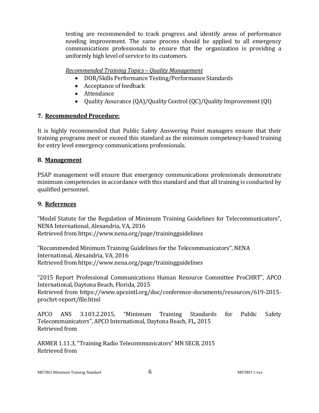testing are recommended to track progress and identify areas of performance needing improvement. The same process should be applied to all emergency communications professionals to ensure that the organization is providing a uniformly high level of service to its customers.

## *Recommended Training Topics – Quality Management*

- DOR/Skills Performance Testing/Performance Standards
- Acceptance of feedback
- Attendance
- Quality Assurance (QA)/Quality Control (QC)/Quality Improvement (QI)

## **7. Recommended Procedure:**

It is highly recommended that Public Safety Answering Point managers ensure that their training programs meet or exceed this standard as the minimum competency-based training for entry level emergency communications professionals.

## **8. Management**

PSAP management will ensure that emergency communications professionals demonstrate minimum competencies in accordance with this standard and that all training is conducted by qualified personnel.

## **9. References**

"Model Statute for the Regulation of Minimum Training Guidelines for Telecommunicators", NENA International, Alexandria, VA, 2016 Retrieved from https://www.nena.org/page/trainingguidelines

"Recommended Minimum Training Guidelines for the Telecommunicators", NENA International, Alexandria, VA, 2016 Retrieved from https://www.nena.org/page/trainingguidelines

"2015 Report Professional Communications Human Resource Committee ProCHRT", APCO International, Daytona Beach, Florida, 2015 Retrieved from https://www.apcointl.org/doc/conference-documents/resources/619-2015 prochrt-report/file.html

APCO ANS 3.103.2.2015, "Minimum Training Standards for Public Safety Telecommunicators", APCO International, Daytona Beach, FL, 2015 Retrieved from

ARMER 1.11.3, "Training Radio Telecommunicators" MN SECB, 2015 Retrieved from